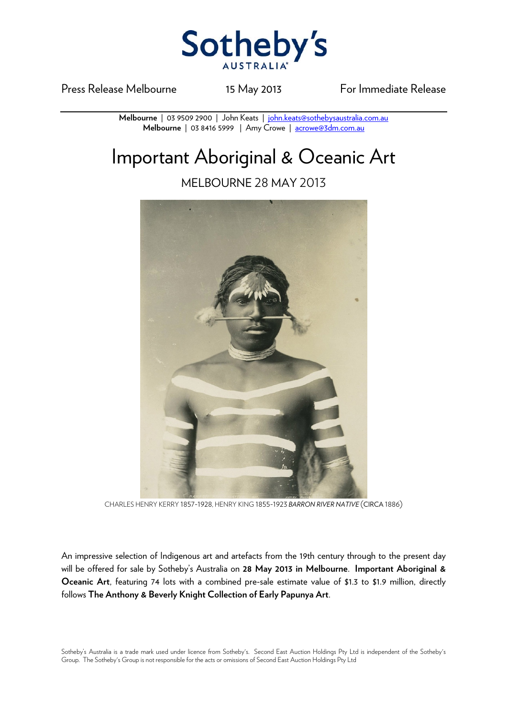

Press Release Melbourne 15 May 2013 For Immediate Release

**Melbourne** | 03 9509 2900 | John Keats | john.keats@sothebysaustralia.com.au **Melbourne** | 03 8416 5999 | Amy Crowe | acrowe@3dm.com.au

## Important Aboriginal & Oceanic Art

MELBOURNE 28 MAY 2013



CHARLES HENRY KERRY 1857-1928, HENRY KING 1855-1923 *BARRON RIVER NATIVE* (CIRCA 1886)

An impressive selection of Indigenous art and artefacts from the 19th century through to the present day will be offered for sale by Sotheby's Australia on **28 May 2013 in Melbourne**. **Important Aboriginal & Oceanic Art**, featuring 74 lots with a combined pre-sale estimate value of \$1.3 to \$1.9 million, directly follows **The Anthony & Beverly Knight Collection of Early Papunya Art**.

Sotheby's Australia is a trade mark used under licence from Sotheby's. Second East Auction Holdings Pty Ltd is independent of the Sotheby's Group. The Sotheby's Group is not responsible for the acts or omissions of Second East Auction Holdings Pty Ltd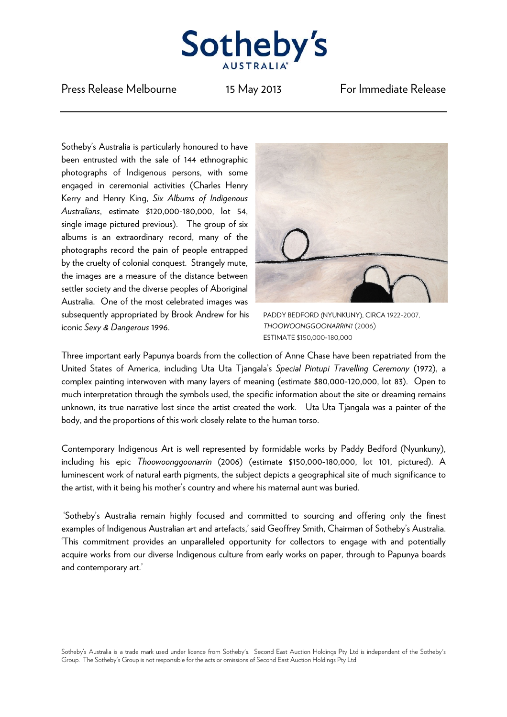

Press Release Melbourne 15 May 2013 For Immediate Release

Sotheby's Australia is particularly honoured to have been entrusted with the sale of 144 ethnographic photographs of Indigenous persons, with some engaged in ceremonial activities (Charles Henry Kerry and Henry King, *Six Albums of Indigenous Australians*, estimate \$120,000-180,000, lot 54, single image pictured previous). The group of six albums is an extraordinary record, many of the photographs record the pain of people entrapped by the cruelty of colonial conquest. Strangely mute, the images are a measure of the distance between settler society and the diverse peoples of Aboriginal Australia. One of the most celebrated images was subsequently appropriated by Brook Andrew for his iconic *Sexy & Dangerous* 1996.



PADDY BEDFORD (NYUNKUNY), CIRCA 1922-2007, *THOOWOONGGOONARRIN1* (2006) ESTIMATE \$150,000-180,000

Three important early Papunya boards from the collection of Anne Chase have been repatriated from the United States of America, including Uta Uta Tjangala's *Special Pintupi Travelling Ceremony* (1972), a complex painting interwoven with many layers of meaning (estimate \$80,000-120,000, lot 83). Open to much interpretation through the symbols used, the specific information about the site or dreaming remains unknown, its true narrative lost since the artist created the work. Uta Uta Tjangala was a painter of the body, and the proportions of this work closely relate to the human torso.

Contemporary Indigenous Art is well represented by formidable works by Paddy Bedford (Nyunkuny), including his epic *Thoowoonggoonarrin* (2006) (estimate \$150,000-180,000, lot 101, pictured). A luminescent work of natural earth pigments, the subject depicts a geographical site of much significance to the artist, with it being his mother's country and where his maternal aunt was buried.

 'Sotheby's Australia remain highly focused and committed to sourcing and offering only the finest examples of Indigenous Australian art and artefacts,' said Geoffrey Smith, Chairman of Sotheby's Australia. 'This commitment provides an unparalleled opportunity for collectors to engage with and potentially acquire works from our diverse Indigenous culture from early works on paper, through to Papunya boards and contemporary art.'

Sotheby's Australia is a trade mark used under licence from Sotheby's. Second East Auction Holdings Pty Ltd is independent of the Sotheby's Group. The Sotheby's Group is not responsible for the acts or omissions of Second East Auction Holdings Pty Ltd